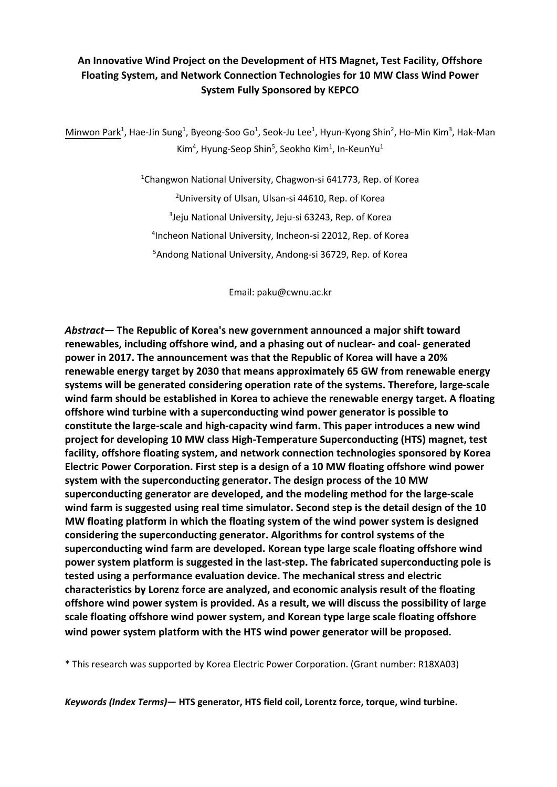## **An Innovative Wind Project on the Development of HTS Magnet, Test Facility, Offshore Floating System, and Network Connection Technologies for 10 MW Class Wind Power System Fully Sponsored by KEPCO**

Minwon Park<sup>1</sup>, Hae-Jin Sung<sup>1</sup>, Byeong-Soo Go<sup>1</sup>, Seok-Ju Lee<sup>1</sup>, Hyun-Kyong Shin<sup>2</sup>, Ho-Min Kim<sup>3</sup>, Hak-Man Kim<sup>4</sup>, Hyung-Seop Shin<sup>5</sup>, Seokho Kim<sup>1</sup>, In-KeunYu<sup>1</sup>

> <sup>1</sup>Changwon National University, Chagwon-si 641773, Rep. of Korea <sup>2</sup>University of Ulsan, Ulsan-si 44610, Rep. of Korea 3 Jeju National University, Jeju-si 63243, Rep. of Korea 4 Incheon National University, Incheon-si 22012, Rep. of Korea <sup>5</sup>Andong National University, Andong-si 36729, Rep. of Korea

> > Email: paku@cwnu.ac.kr

*Abstract—* **The Republic of Korea's new government announced a major shift toward renewables, including offshore wind, and a phasing out of nuclear- and coal- generated power in 2017. The announcement was that the Republic of Korea will have a 20% renewable energy target by 2030 that means approximately 65 GW from renewable energy systems will be generated considering operation rate of the systems. Therefore, large-scale wind farm should be established in Korea to achieve the renewable energy target. A floating offshore wind turbine with a superconducting wind power generator is possible to constitute the large-scale and high-capacity wind farm. This paper introduces a new wind project for developing 10 MW class High-Temperature Superconducting (HTS) magnet, test facility, offshore floating system, and network connection technologies sponsored by Korea Electric Power Corporation. First step is a design of a 10 MW floating offshore wind power system with the superconducting generator. The design process of the 10 MW superconducting generator are developed, and the modeling method for the large-scale wind farm is suggested using real time simulator. Second step is the detail design of the 10 MW floating platform in which the floating system of the wind power system is designed considering the superconducting generator. Algorithms for control systems of the superconducting wind farm are developed. Korean type large scale floating offshore wind power system platform is suggested in the last-step. The fabricated superconducting pole is tested using a performance evaluation device. The mechanical stress and electric characteristics by Lorenz force are analyzed, and economic analysis result of the floating offshore wind power system is provided. As a result, we will discuss the possibility of large scale floating offshore wind power system, and Korean type large scale floating offshore wind power system platform with the HTS wind power generator will be proposed.**

\* This research was supported by Korea Electric Power Corporation. (Grant number: R18XA03)

*Keywords (Index Terms)***— HTS generator, HTS field coil, Lorentz force, torque, wind turbine.**